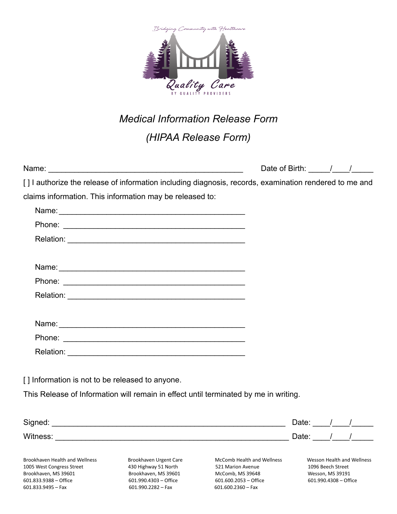

## *Medical Information Release Form*

## *(HIPAA Release Form)*

|                                                                                                      | Date of Birth: $\frac{1}{\sqrt{2}}$ |  |
|------------------------------------------------------------------------------------------------------|-------------------------------------|--|
| [] authorize the release of information including diagnosis, records, examination rendered to me and |                                     |  |
| claims information. This information may be released to:                                             |                                     |  |
|                                                                                                      |                                     |  |
|                                                                                                      |                                     |  |
|                                                                                                      |                                     |  |
|                                                                                                      |                                     |  |
|                                                                                                      |                                     |  |
|                                                                                                      |                                     |  |
|                                                                                                      |                                     |  |
|                                                                                                      |                                     |  |
|                                                                                                      |                                     |  |
|                                                                                                      |                                     |  |
|                                                                                                      |                                     |  |
|                                                                                                      |                                     |  |
| [] Information is not to be released to anyone.                                                      |                                     |  |

This Release of Information will remain in effect until terminated by me in writing.

| Signed:                        |                         |                            | Date:                      |  |  |
|--------------------------------|-------------------------|----------------------------|----------------------------|--|--|
| Witness:                       |                         |                            | Date:                      |  |  |
| Brookhaven Health and Wellness | Brookhaven Urgent Care  | McComb Health and Wellness | Wesson Health and Wellness |  |  |
| 1005 West Congress Street      | 430 Highway 51 North    | 521 Marion Avenue          | 1096 Beech Street          |  |  |
| Brookhaven, MS 39601           | Brookhaven, MS 39601    | McComb, MS 39648           | Wesson, MS 39191           |  |  |
| 601.833.9388 - Office          | $601.990.4303 -$ Office | 601.600.2053 - Office      | 601.990.4308 - Office      |  |  |
| $601.833.9495 - Fax$           | $601.990.2282 - Fax$    | $601.600.2360 - Fax$       |                            |  |  |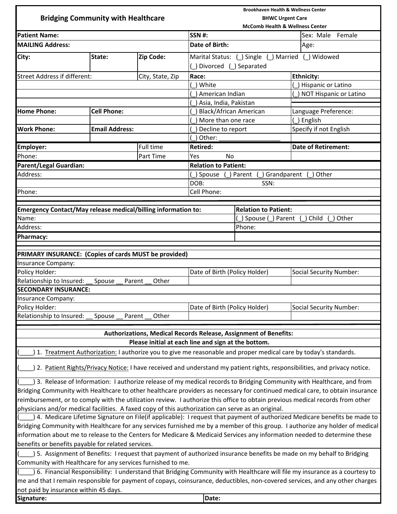|                                                                                                                                | <b>Brookhaven Health &amp; Wellness Center</b>                                                                                                                                                                                                             |                                                                  |                                            |                                                    |                                                                                                                 |  |  |
|--------------------------------------------------------------------------------------------------------------------------------|------------------------------------------------------------------------------------------------------------------------------------------------------------------------------------------------------------------------------------------------------------|------------------------------------------------------------------|--------------------------------------------|----------------------------------------------------|-----------------------------------------------------------------------------------------------------------------|--|--|
|                                                                                                                                | <b>Bridging Community with Healthcare</b><br><b>BHWC Urgent Care</b>                                                                                                                                                                                       |                                                                  |                                            |                                                    |                                                                                                                 |  |  |
|                                                                                                                                |                                                                                                                                                                                                                                                            |                                                                  | <b>McComb Health &amp; Wellness Center</b> |                                                    |                                                                                                                 |  |  |
| <b>Patient Name:</b>                                                                                                           |                                                                                                                                                                                                                                                            |                                                                  | <b>SSN #:</b>                              |                                                    | Sex: Male Female                                                                                                |  |  |
| <b>MAILING Address:</b>                                                                                                        |                                                                                                                                                                                                                                                            |                                                                  | <b>Date of Birth:</b>                      |                                                    | Age:                                                                                                            |  |  |
| City:                                                                                                                          | State:                                                                                                                                                                                                                                                     | Zip Code:                                                        |                                            | Marital Status: (_) Single (_) Married (_) Widowed |                                                                                                                 |  |  |
|                                                                                                                                |                                                                                                                                                                                                                                                            |                                                                  | () Divorced () Separated                   |                                                    |                                                                                                                 |  |  |
| <b>Street Address if different:</b>                                                                                            |                                                                                                                                                                                                                                                            | City, State, Zip                                                 | Race:                                      |                                                    | <b>Ethnicity:</b>                                                                                               |  |  |
|                                                                                                                                |                                                                                                                                                                                                                                                            |                                                                  | White                                      |                                                    | Hispanic or Latino                                                                                              |  |  |
|                                                                                                                                |                                                                                                                                                                                                                                                            |                                                                  | American Indian                            |                                                    | NOT Hispanic or Latino                                                                                          |  |  |
|                                                                                                                                |                                                                                                                                                                                                                                                            |                                                                  | Asia, India, Pakistan                      |                                                    |                                                                                                                 |  |  |
| <b>Home Phone:</b>                                                                                                             | <b>Cell Phone:</b>                                                                                                                                                                                                                                         |                                                                  | Black/African American                     |                                                    | Language Preference:                                                                                            |  |  |
|                                                                                                                                |                                                                                                                                                                                                                                                            |                                                                  | More than one race                         |                                                    | ) English                                                                                                       |  |  |
| <b>Work Phone:</b>                                                                                                             | <b>Email Address:</b>                                                                                                                                                                                                                                      |                                                                  | Decline to report                          |                                                    | Specify if not English                                                                                          |  |  |
|                                                                                                                                |                                                                                                                                                                                                                                                            |                                                                  | () Other:                                  |                                                    |                                                                                                                 |  |  |
| <b>Employer:</b>                                                                                                               |                                                                                                                                                                                                                                                            | Full time                                                        | <b>Retired:</b>                            |                                                    | <b>Date of Retirement:</b>                                                                                      |  |  |
| Phone:                                                                                                                         |                                                                                                                                                                                                                                                            | Part Time                                                        | Yes<br><b>No</b>                           |                                                    |                                                                                                                 |  |  |
| <b>Parent/Legal Guardian:</b>                                                                                                  |                                                                                                                                                                                                                                                            |                                                                  | <b>Relation to Patient:</b>                |                                                    |                                                                                                                 |  |  |
| Address:                                                                                                                       |                                                                                                                                                                                                                                                            |                                                                  | Spouse                                     | Parent<br>Grandparent                              | Other                                                                                                           |  |  |
|                                                                                                                                |                                                                                                                                                                                                                                                            |                                                                  | DOB:                                       | SSN:                                               |                                                                                                                 |  |  |
| Phone:                                                                                                                         |                                                                                                                                                                                                                                                            |                                                                  | Cell Phone:                                |                                                    |                                                                                                                 |  |  |
|                                                                                                                                |                                                                                                                                                                                                                                                            |                                                                  |                                            |                                                    |                                                                                                                 |  |  |
| <b>Emergency Contact/May release medical/billing information to:</b>                                                           |                                                                                                                                                                                                                                                            |                                                                  |                                            | <b>Relation to Patient:</b>                        |                                                                                                                 |  |  |
| Name:<br>Address:                                                                                                              |                                                                                                                                                                                                                                                            |                                                                  |                                            | Spouse (<br>Parent<br>Phone:                       | Child<br>Other                                                                                                  |  |  |
|                                                                                                                                |                                                                                                                                                                                                                                                            |                                                                  |                                            |                                                    |                                                                                                                 |  |  |
| Pharmacy:                                                                                                                      |                                                                                                                                                                                                                                                            |                                                                  |                                            |                                                    |                                                                                                                 |  |  |
| PRIMARY INSURANCE: (Copies of cards MUST be provided)                                                                          |                                                                                                                                                                                                                                                            |                                                                  |                                            |                                                    |                                                                                                                 |  |  |
| Insurance Company:                                                                                                             |                                                                                                                                                                                                                                                            |                                                                  |                                            |                                                    |                                                                                                                 |  |  |
| Policy Holder:                                                                                                                 |                                                                                                                                                                                                                                                            |                                                                  | Date of Birth (Policy Holder)              |                                                    | <b>Social Security Number:</b>                                                                                  |  |  |
| Relationship to Insured:                                                                                                       | Other<br>Spouse<br>Parent                                                                                                                                                                                                                                  |                                                                  |                                            |                                                    |                                                                                                                 |  |  |
| <b>SECONDARY INSURANCE:</b>                                                                                                    |                                                                                                                                                                                                                                                            |                                                                  |                                            |                                                    |                                                                                                                 |  |  |
| Insurance Company:                                                                                                             |                                                                                                                                                                                                                                                            |                                                                  |                                            |                                                    |                                                                                                                 |  |  |
| Policy Holder:                                                                                                                 |                                                                                                                                                                                                                                                            |                                                                  | Date of Birth (Policy Holder)              |                                                    | <b>Social Security Number:</b>                                                                                  |  |  |
| Relationship to Insured:                                                                                                       | Spouse                                                                                                                                                                                                                                                     | Other<br>Parent                                                  |                                            |                                                    |                                                                                                                 |  |  |
|                                                                                                                                |                                                                                                                                                                                                                                                            |                                                                  |                                            |                                                    |                                                                                                                 |  |  |
|                                                                                                                                |                                                                                                                                                                                                                                                            | Authorizations, Medical Records Release, Assignment of Benefits: |                                            |                                                    |                                                                                                                 |  |  |
|                                                                                                                                |                                                                                                                                                                                                                                                            | Please initial at each line and sign at the bottom.              |                                            |                                                    |                                                                                                                 |  |  |
|                                                                                                                                |                                                                                                                                                                                                                                                            |                                                                  |                                            |                                                    | 1. Treatment Authorization: I authorize you to give me reasonable and proper medical care by today's standards. |  |  |
| 2. Patient Rights/Privacy Notice: I have received and understand my patient rights, responsibilities, and privacy notice.      |                                                                                                                                                                                                                                                            |                                                                  |                                            |                                                    |                                                                                                                 |  |  |
| 3. Release of Information: I authorize release of my medical records to Bridging Community with Healthcare, and from           |                                                                                                                                                                                                                                                            |                                                                  |                                            |                                                    |                                                                                                                 |  |  |
| Bridging Community with Healthcare to other healthcare providers as necessary for continued medical care, to obtain insurance  |                                                                                                                                                                                                                                                            |                                                                  |                                            |                                                    |                                                                                                                 |  |  |
| reimbursement, or to comply with the utilization review. I authorize this office to obtain previous medical records from other |                                                                                                                                                                                                                                                            |                                                                  |                                            |                                                    |                                                                                                                 |  |  |
| physicians and/or medical facilities. A faxed copy of this authorization can serve as an original.                             |                                                                                                                                                                                                                                                            |                                                                  |                                            |                                                    |                                                                                                                 |  |  |
| 4. Medicare Lifetime Signature on File(if applicable): I request that payment of authorized Medicare benefits be made to       |                                                                                                                                                                                                                                                            |                                                                  |                                            |                                                    |                                                                                                                 |  |  |
| Bridging Community with Healthcare for any services furnished me by a member of this group. I authorize any holder of medical  |                                                                                                                                                                                                                                                            |                                                                  |                                            |                                                    |                                                                                                                 |  |  |
| information about me to release to the Centers for Medicare & Medicaid Services any information needed to determine these      |                                                                                                                                                                                                                                                            |                                                                  |                                            |                                                    |                                                                                                                 |  |  |
| benefits or benefits payable for related services.                                                                             |                                                                                                                                                                                                                                                            |                                                                  |                                            |                                                    |                                                                                                                 |  |  |
| 5. Assignment of Benefits: I request that payment of authorized insurance benefits be made on my behalf to Bridging            |                                                                                                                                                                                                                                                            |                                                                  |                                            |                                                    |                                                                                                                 |  |  |
| Community with Healthcare for any services furnished to me.                                                                    |                                                                                                                                                                                                                                                            |                                                                  |                                            |                                                    |                                                                                                                 |  |  |
|                                                                                                                                | 6. Financial Responsibility: I understand that Bridging Community with Healthcare will file my insurance as a courtesy to<br>me and that I remain responsible for payment of copays, coinsurance, deductibles, non-covered services, and any other charges |                                                                  |                                            |                                                    |                                                                                                                 |  |  |
|                                                                                                                                |                                                                                                                                                                                                                                                            |                                                                  |                                            |                                                    |                                                                                                                 |  |  |
| not paid by insurance within 45 days.                                                                                          |                                                                                                                                                                                                                                                            |                                                                  |                                            |                                                    |                                                                                                                 |  |  |
| Date:<br>Signature:                                                                                                            |                                                                                                                                                                                                                                                            |                                                                  |                                            |                                                    |                                                                                                                 |  |  |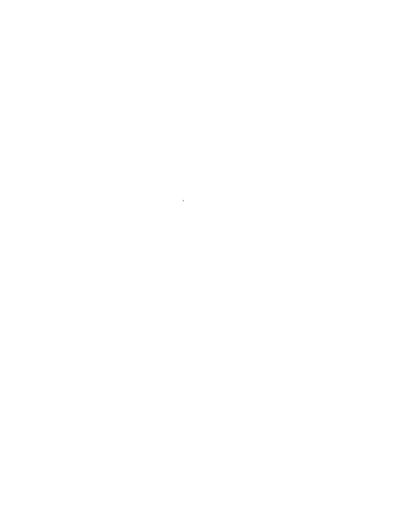$\label{eq:2.1} \mathcal{L}(\mathcal{L}^{\text{max}}_{\mathcal{L}}(\mathcal{L}^{\text{max}}_{\mathcal{L}}))\leq \mathcal{L}(\mathcal{L}^{\text{max}}_{\mathcal{L}}(\mathcal{L}^{\text{max}}_{\mathcal{L}}))$  $\label{eq:2.1} \frac{1}{\sqrt{2}}\int_{0}^{\infty}\frac{1}{\sqrt{2\pi}}\left(\frac{1}{\sqrt{2\pi}}\int_{0}^{\infty}\frac{1}{\sqrt{2\pi}}\left(\frac{1}{\sqrt{2\pi}}\int_{0}^{\infty}\frac{1}{\sqrt{2\pi}}\right)\frac{1}{\sqrt{2\pi}}\right)\frac{d\theta}{\sqrt{2\pi}}\,d\theta.$  $\label{eq:2.1} \mathcal{L}(\mathcal{L}^{\text{c}}_{\text{c}}) = \mathcal{L}(\mathcal{L}^{\text{c}}_{\text{c}}) \mathcal{L}(\mathcal{L}^{\text{c}}_{\text{c}})$